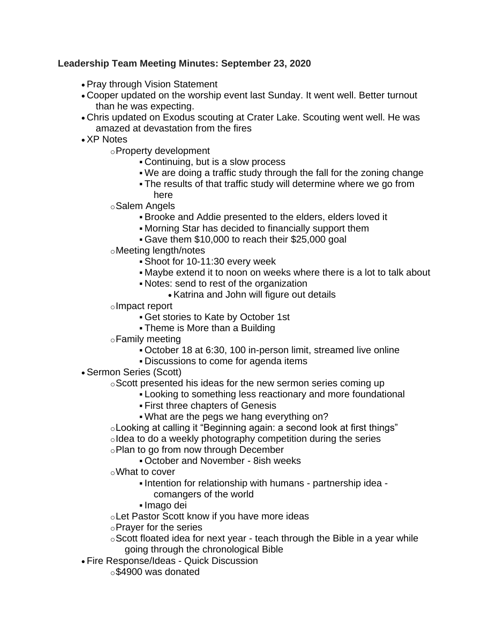## **Leadership Team Meeting Minutes: September 23, 2020**

- Pray through Vision Statement
- Cooper updated on the worship event last Sunday. It went well. Better turnout than he was expecting.
- Chris updated on Exodus scouting at Crater Lake. Scouting went well. He was amazed at devastation from the fires
- XP Notes

oProperty development

- Continuing, but is a slow process
- We are doing a traffic study through the fall for the zoning change
- The results of that traffic study will determine where we go from here
- oSalem Angels
	- Brooke and Addie presented to the elders, elders loved it
	- Morning Star has decided to financially support them
	- Gave them \$10,000 to reach their \$25,000 goal
- oMeeting length/notes
	- Shoot for 10-11:30 every week
	- Maybe extend it to noon on weeks where there is a lot to talk about
	- Notes: send to rest of the organization
		- Katrina and John will figure out details
- oImpact report
	- Get stories to Kate by October 1st
	- Theme is More than a Building
- oFamily meeting
	- October 18 at 6:30, 100 in-person limit, streamed live online
	- Discussions to come for agenda items
- Sermon Series (Scott)
	- oScott presented his ideas for the new sermon series coming up
		- Looking to something less reactionary and more foundational
			- First three chapters of Genesis
			- What are the pegs we hang everything on?
	- oLooking at calling it "Beginning again: a second look at first things"
	- oldea to do a weekly photography competition during the series oPlan to go from now through December
		- October and November 8ish weeks
	- oWhat to cover
		- Intention for relationship with humans partnership idea comangers of the world
		- Imago dei
	- oLet Pastor Scott know if you have more ideas
	- oPrayer for the series
	- $\circ$ Scott floated idea for next year teach through the Bible in a year while going through the chronological Bible
- Fire Response/Ideas Quick Discussion
	- o\$4900 was donated